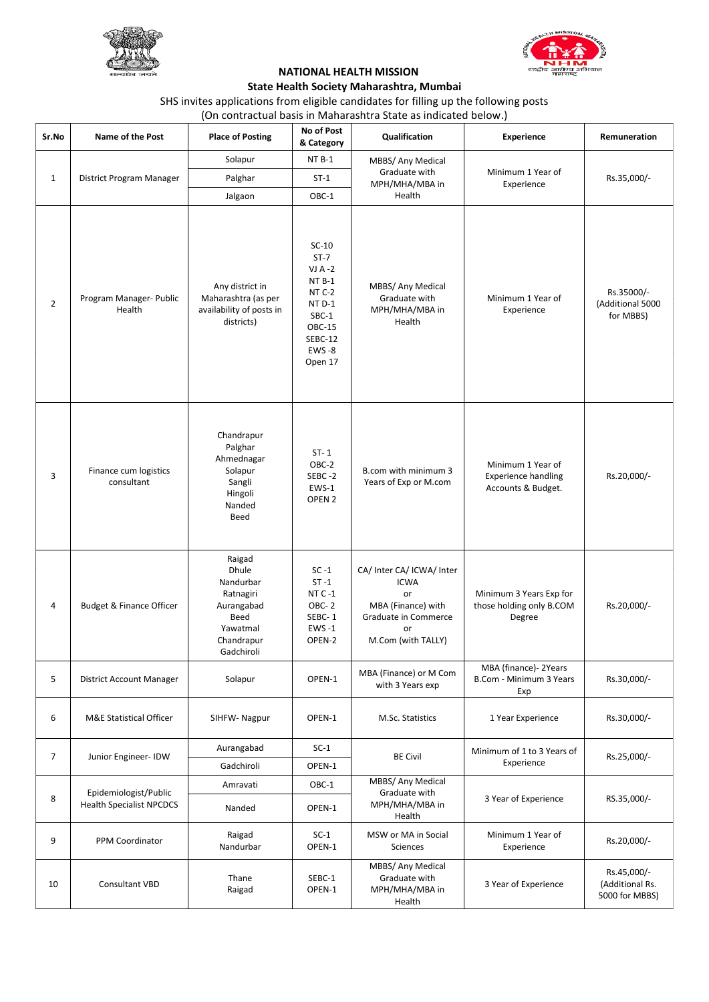



## **NATIONAL HEALTH MISSION State Health Society Maharashtra, Mumbai**

SHS invites applications from eligible candidates for filling up the following posts (On contractual basis in Maharashtra State as indicated below.)

| Sr.No          | Name of the Post                                         | <b>Place of Posting</b>                                                                                        | No of Post<br>& Category                                                                                        | Qualification                                                                                                            | <b>Experience</b>                                                     | Remuneration                                     |  |
|----------------|----------------------------------------------------------|----------------------------------------------------------------------------------------------------------------|-----------------------------------------------------------------------------------------------------------------|--------------------------------------------------------------------------------------------------------------------------|-----------------------------------------------------------------------|--------------------------------------------------|--|
|                |                                                          | Solapur                                                                                                        | NT <sub>B-1</sub>                                                                                               | MBBS/ Any Medical                                                                                                        |                                                                       |                                                  |  |
| $\mathbf{1}$   | District Program Manager                                 | Palghar                                                                                                        | $ST-1$                                                                                                          | Graduate with<br>MPH/MHA/MBA in                                                                                          | Minimum 1 Year of<br>Experience                                       | Rs.35,000/-                                      |  |
|                |                                                          | Jalgaon                                                                                                        | OBC-1                                                                                                           | Health                                                                                                                   |                                                                       |                                                  |  |
| $\overline{2}$ | Program Manager- Public<br>Health                        | Any district in<br>Maharashtra (as per<br>availability of posts in<br>districts)                               | $SC-10$<br>$ST-7$<br>$VI A - 2$<br>NT B-1<br>NT C-2<br>NT D-1<br>SBC-1<br>OBC-15<br>SEBC-12<br>EWS-8<br>Open 17 | MBBS/ Any Medical<br>Graduate with<br>MPH/MHA/MBA in<br>Health                                                           | Minimum 1 Year of<br>Experience                                       | Rs.35000/-<br>(Additional 5000<br>for MBBS)      |  |
| 3              | Finance cum logistics<br>consultant                      | Chandrapur<br>Palghar<br>Ahmednagar<br>Solapur<br>Sangli<br>Hingoli<br>Nanded<br>Beed                          | $ST - 1$<br>OBC-2<br>SEBC-2<br>EWS-1<br>OPEN <sub>2</sub>                                                       | B.com with minimum 3<br>Years of Exp or M.com                                                                            | Minimum 1 Year of<br><b>Experience handling</b><br>Accounts & Budget. | Rs.20,000/-                                      |  |
| 4              | <b>Budget &amp; Finance Officer</b>                      | Raigad<br><b>Dhule</b><br>Nandurbar<br>Ratnagiri<br>Aurangabad<br>Beed<br>Yawatmal<br>Chandrapur<br>Gadchiroli | $SC - 1$<br>$ST - 1$<br>$NTC - 1$<br>OBC-2<br>SEBC-1<br><b>EWS-1</b><br>OPEN-2                                  | CA/ Inter CA/ ICWA/ Inter<br><b>ICWA</b><br>or<br>MBA (Finance) with<br>Graduate in Commerce<br>or<br>M.Com (with TALLY) | Minimum 3 Years Exp for<br>those holding only B.COM<br>Degree         | Rs.20,000/-                                      |  |
| 5              | District Account Manager                                 | Solapur                                                                                                        | OPEN-1                                                                                                          | MBA (Finance) or M Com<br>with 3 Years exp                                                                               | MBA (finance)- 2Years<br>B.Com - Minimum 3 Years<br>Exp               | Rs.30,000/-                                      |  |
| 6              | <b>M&amp;E Statistical Officer</b>                       | SIHFW-Nagpur                                                                                                   | OPEN-1                                                                                                          | M.Sc. Statistics                                                                                                         | 1 Year Experience                                                     | Rs.30,000/-                                      |  |
|                |                                                          | Aurangabad                                                                                                     | $SC-1$                                                                                                          |                                                                                                                          | Minimum of 1 to 3 Years of                                            |                                                  |  |
| 7              | Junior Engineer-IDW                                      | Gadchiroli                                                                                                     | OPEN-1                                                                                                          | <b>BE Civil</b>                                                                                                          | Experience                                                            | Rs.25,000/-                                      |  |
|                | Epidemiologist/Public<br><b>Health Specialist NPCDCS</b> | Amravati                                                                                                       | OBC-1                                                                                                           | MBBS/ Any Medical<br>Graduate with                                                                                       |                                                                       | RS.35,000/-                                      |  |
| 8              |                                                          | Nanded                                                                                                         | OPEN-1                                                                                                          | MPH/MHA/MBA in<br>Health                                                                                                 | 3 Year of Experience                                                  |                                                  |  |
| 9              | PPM Coordinator                                          | Raigad<br>Nandurbar                                                                                            | $SC-1$<br>OPEN-1                                                                                                | MSW or MA in Social<br>Sciences                                                                                          | Minimum 1 Year of<br>Experience                                       | Rs.20,000/-                                      |  |
| 10             | Consultant VBD                                           | Thane<br>Raigad                                                                                                | SEBC-1<br>OPEN-1                                                                                                | MBBS/ Any Medical<br>Graduate with<br>MPH/MHA/MBA in<br>Health                                                           | 3 Year of Experience                                                  | Rs.45,000/-<br>(Additional Rs.<br>5000 for MBBS) |  |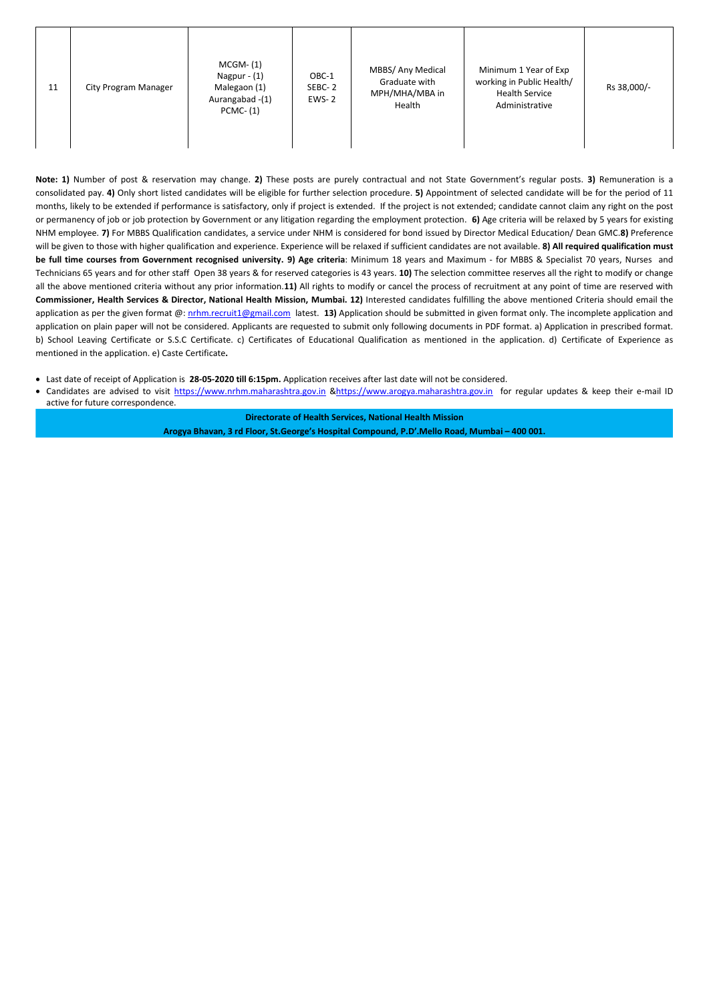| 11 | City Program Manager | $MCGM- (1)$<br>Nagpur $- (1)$<br>Malegaon (1)<br>Aurangabad -(1)<br>$PCMC- (1)$ | OBC-1<br>SEBC-2<br>$EWS - 2$ | MBBS/ Any Medical<br>Graduate with<br>MPH/MHA/MBA in<br>Health | Minimum 1 Year of Exp<br>working in Public Health/<br><b>Health Service</b><br>Administrative | Rs 38,000/- |
|----|----------------------|---------------------------------------------------------------------------------|------------------------------|----------------------------------------------------------------|-----------------------------------------------------------------------------------------------|-------------|
|----|----------------------|---------------------------------------------------------------------------------|------------------------------|----------------------------------------------------------------|-----------------------------------------------------------------------------------------------|-------------|

**Note: 1)** Number of post & reservation may change. **2)** These posts are purely contractual and not State Government's regular posts. **3)** Remuneration is a consolidated pay. **4)** Only short listed candidates will be eligible for further selection procedure. **5)** Appointment of selected candidate will be for the period of 11 months, likely to be extended if performance is satisfactory, only if project is extended. If the project is not extended; candidate cannot claim any right on the post or permanency of job or job protection by Government or any litigation regarding the employment protection. **6)** Age criteria will be relaxed by 5 years for existing NHM employee. **7)** For MBBS Qualification candidates, a service under NHM is considered for bond issued by Director Medical Education/ Dean GMC.**8)** Preference will be given to those with higher qualification and experience. Experience will be relaxed if sufficient candidates are not available. **8) All required qualification must be full time courses from Government recognised university. 9) Age criteria**: Minimum 18 years and Maximum - for MBBS & Specialist 70 years, Nurses and Technicians 65 years and for other staff Open 38 years & for reserved categories is 43 years. **10)** The selection committee reserves all the right to modify or change all the above mentioned criteria without any prior information.**11)** All rights to modify or cancel the process of recruitment at any point of time are reserved with **Commissioner, Health Services & Director, National Health Mission, Mumbai. 12)** Interested candidates fulfilling the above mentioned Criteria should email the application as per the given format @: [nrhm.recruit1@gmail.com](mailto:nrhm.recruit1@gmail.com) latest. 13) Application should be submitted in given format only. The incomplete application and application on plain paper will not be considered. Applicants are requested to submit only following documents in PDF format. a) Application in prescribed format. b) School Leaving Certificate or S.S.C Certificate. c) Certificates of Educational Qualification as mentioned in the application. d) Certificate of Experience as mentioned in the application. e) Caste Certificate**.** 

- Last date of receipt of Application is **28-05-2020 till 6:15pm.** Application receives after last date will not be considered.
- Candidates are advised to visit [https://www.nrhm.maharashtra.gov.in](https://www.nrhm.maharashtra.gov.in/) [&https://www.arogya.maharashtra.gov.in](https://www.arogya.maharashtra.gov.in/) for regular updates & keep their e-mail ID active for future correspondence.

**Directorate of Health Services, National Health Mission Arogya Bhavan, 3 rd Floor, St.George's Hospital Compound, P.D'.Mello Road, Mumbai – 400 001.**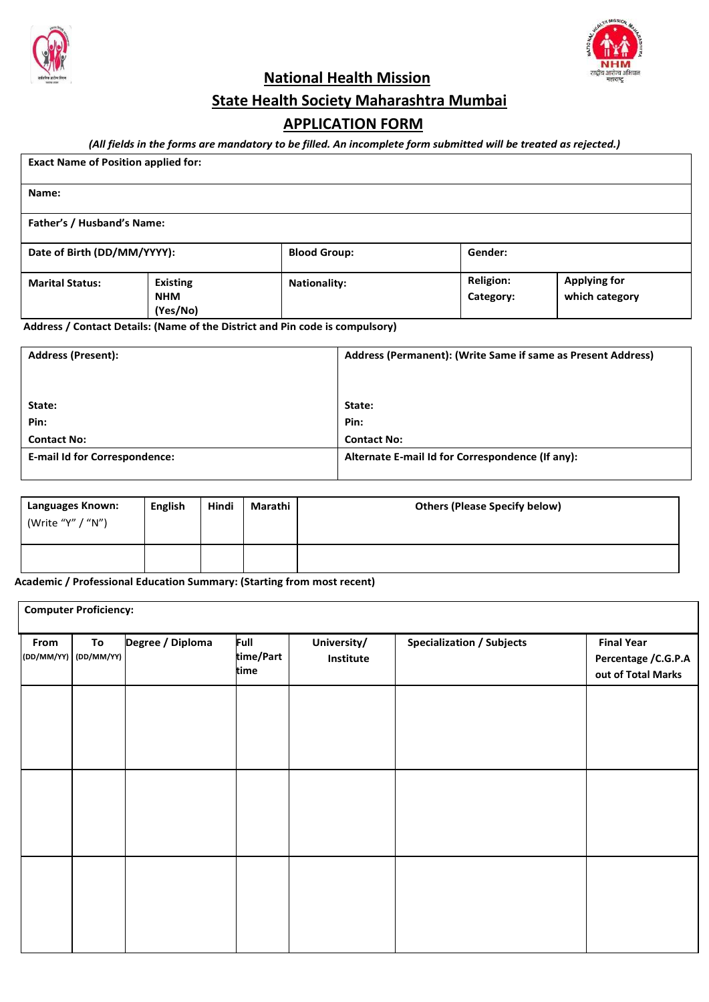



**National Health Mission**

**State Health Society Maharashtra Mumbai**

# **APPLICATION FORM**

## *(All fields in the forms are mandatory to be filled. An incomplete form submitted will be treated as rejected.)*

| <b>Exact Name of Position applied for:</b> |                                                               |                     |                               |                                       |  |  |  |  |
|--------------------------------------------|---------------------------------------------------------------|---------------------|-------------------------------|---------------------------------------|--|--|--|--|
| Name:                                      |                                                               |                     |                               |                                       |  |  |  |  |
|                                            | Father's / Husband's Name:                                    |                     |                               |                                       |  |  |  |  |
|                                            | Date of Birth (DD/MM/YYYY):<br>Gender:<br><b>Blood Group:</b> |                     |                               |                                       |  |  |  |  |
| <b>Marital Status:</b>                     | <b>Existing</b><br><b>NHM</b><br>(Yes/No)                     | <b>Nationality:</b> | <b>Religion:</b><br>Category: | <b>Applying for</b><br>which category |  |  |  |  |

**Address / Contact Details: (Name of the District and Pin code is compulsory)**

| <b>Address (Present):</b>            | Address (Permanent): (Write Same if same as Present Address) |  |  |
|--------------------------------------|--------------------------------------------------------------|--|--|
|                                      |                                                              |  |  |
|                                      |                                                              |  |  |
| State:                               | State:                                                       |  |  |
| Pin:                                 | Pin:                                                         |  |  |
| <b>Contact No:</b>                   | <b>Contact No:</b>                                           |  |  |
| <b>E-mail Id for Correspondence:</b> | Alternate E-mail Id for Correspondence (If any):             |  |  |
|                                      |                                                              |  |  |

| Languages Known:<br>(Write "Y" / "N") | <b>English</b> | Hindi | Marathi | <b>Others (Please Specify below)</b> |
|---------------------------------------|----------------|-------|---------|--------------------------------------|
|                                       |                |       |         |                                      |

**Academic / Professional Education Summary: (Starting from most recent)**

| <b>Computer Proficiency:</b> |  |                                             |                          |                                  |                                                                 |  |  |  |
|------------------------------|--|---------------------------------------------|--------------------------|----------------------------------|-----------------------------------------------------------------|--|--|--|
| To                           |  | <b>Full</b><br>time/Part<br>time            | University/<br>Institute | <b>Specialization / Subjects</b> | <b>Final Year</b><br>Percentage / C.G.P.A<br>out of Total Marks |  |  |  |
|                              |  |                                             |                          |                                  |                                                                 |  |  |  |
|                              |  |                                             |                          |                                  |                                                                 |  |  |  |
|                              |  |                                             |                          |                                  |                                                                 |  |  |  |
|                              |  |                                             |                          |                                  |                                                                 |  |  |  |
|                              |  | Degree / Diploma<br>(DD/MM/YY)   (DD/MM/YY) |                          |                                  |                                                                 |  |  |  |